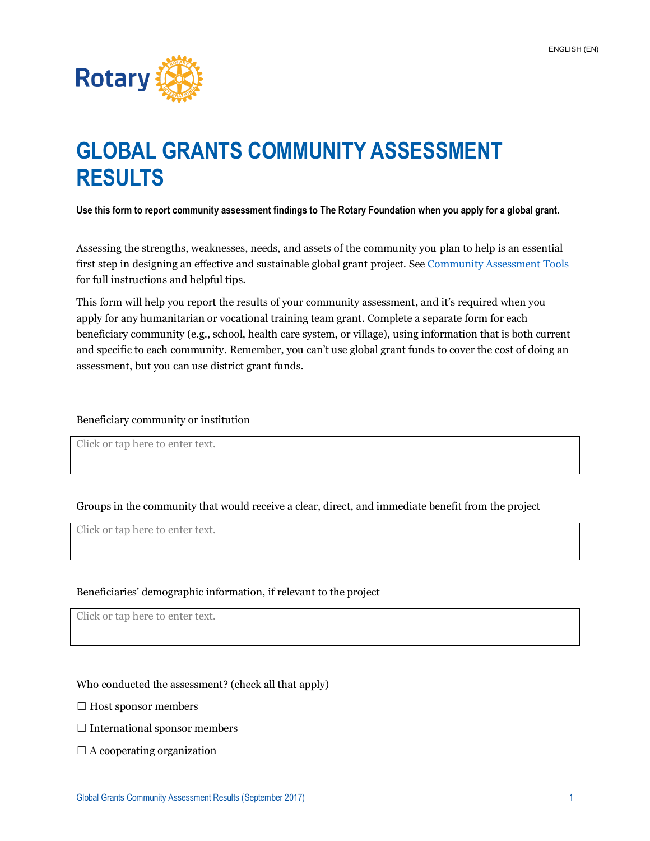

# **GLOBAL GRANTS COMMUNITY ASSESSMENT RESULTS**

**Use this form to report community assessment findings to The Rotary Foundation when you apply for a global grant.**

Assessing the strengths, weaknesses, needs, and assets of the community you plan to help is an essential first step in designing an effective and sustainable global grant project. See [Community Assessment Tools](https://my.rotary.org/en/document/community-assessment-tools) for full instructions and helpful tips.

This form will help you report the results of your community assessment, and it's required when you apply for any humanitarian or vocational training team grant. Complete a separate form for each beneficiary community (e.g., school, health care system, or village), using information that is both current and specific to each community. Remember, you can't use global grant funds to cover the cost of doing an assessment, but you can use district grant funds.

#### Beneficiary community or institution

Click or tap here to enter text.

Groups in the community that would receive a clear, direct, and immediate benefit from the project

Click or tap here to enter text.

#### Beneficiaries' demographic information, if relevant to the project

Click or tap here to enter text.

Who conducted the assessment? (check all that apply)

- $\Box$  Host sponsor members
- $\Box$  International sponsor members
- $\Box$  A cooperating organization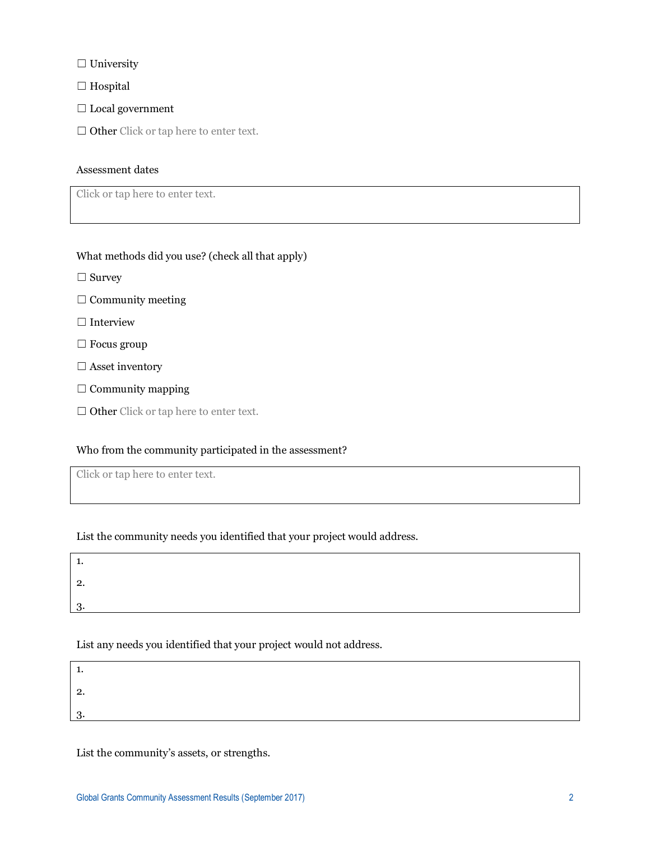□ University

□ Hospital

☐ Local government

□ Other Click or tap here to enter text.

#### Assessment dates

Click or tap here to enter text.

What methods did you use? (check all that apply)

□ Survey

 $\Box$  Community meeting

□ Interview

☐ Focus group

 $\Box$  Asset inventory

 $\Box$  Community mapping

□ Other Click or tap here to enter text.

# Who from the community participated in the assessment?

Click or tap here to enter text.

List the community needs you identified that your project would address.

| <u>.</u> |  |  |  |
|----------|--|--|--|
|          |  |  |  |

# List any needs you identified that your project would not address.

List the community's assets, or strengths.